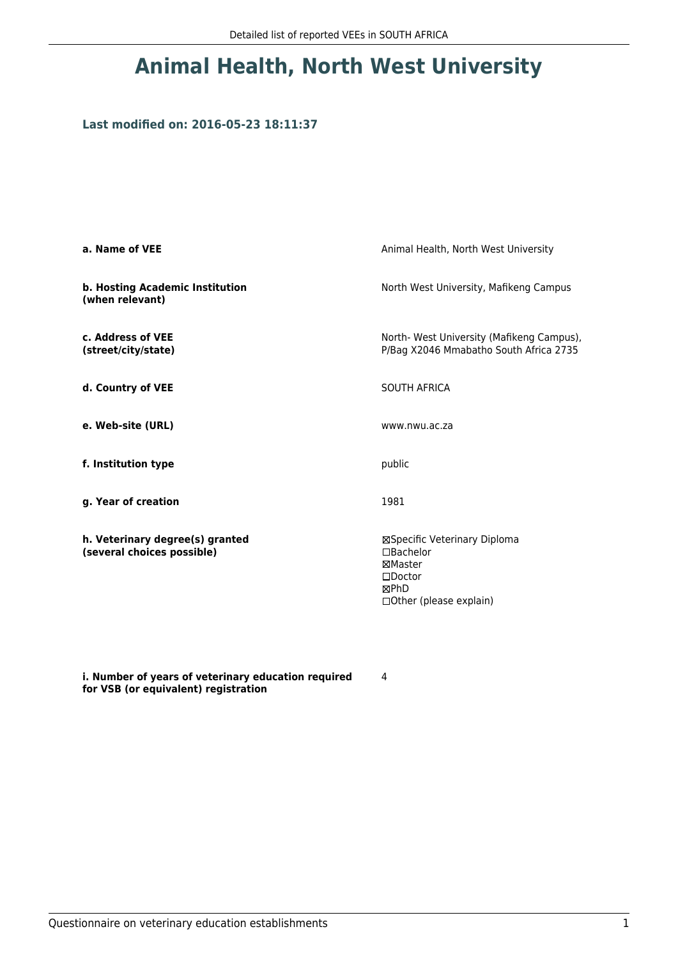## **Animal Health, North West University**

#### **Last modified on: 2016-05-23 18:11:37**

| a. Name of VEE                                                | Animal Health, North West University                                                                                    |  |
|---------------------------------------------------------------|-------------------------------------------------------------------------------------------------------------------------|--|
| b. Hosting Academic Institution<br>(when relevant)            | North West University, Mafikeng Campus                                                                                  |  |
| c. Address of VEE<br>(street/city/state)                      | North-West University (Mafikeng Campus),<br>P/Bag X2046 Mmabatho South Africa 2735                                      |  |
| d. Country of VEE                                             | <b>SOUTH AFRICA</b>                                                                                                     |  |
| e. Web-site (URL)                                             | www.nwu.ac.za                                                                                                           |  |
| f. Institution type                                           | public                                                                                                                  |  |
| g. Year of creation                                           | 1981                                                                                                                    |  |
| h. Veterinary degree(s) granted<br>(several choices possible) | ⊠Specific Veterinary Diploma<br>$\Box$ Bachelor<br>⊠Master<br>$\square$ Doctor<br>⊠PhD<br>$\Box$ Other (please explain) |  |

**i. Number of years of veterinary education required for VSB (or equivalent) registration**

4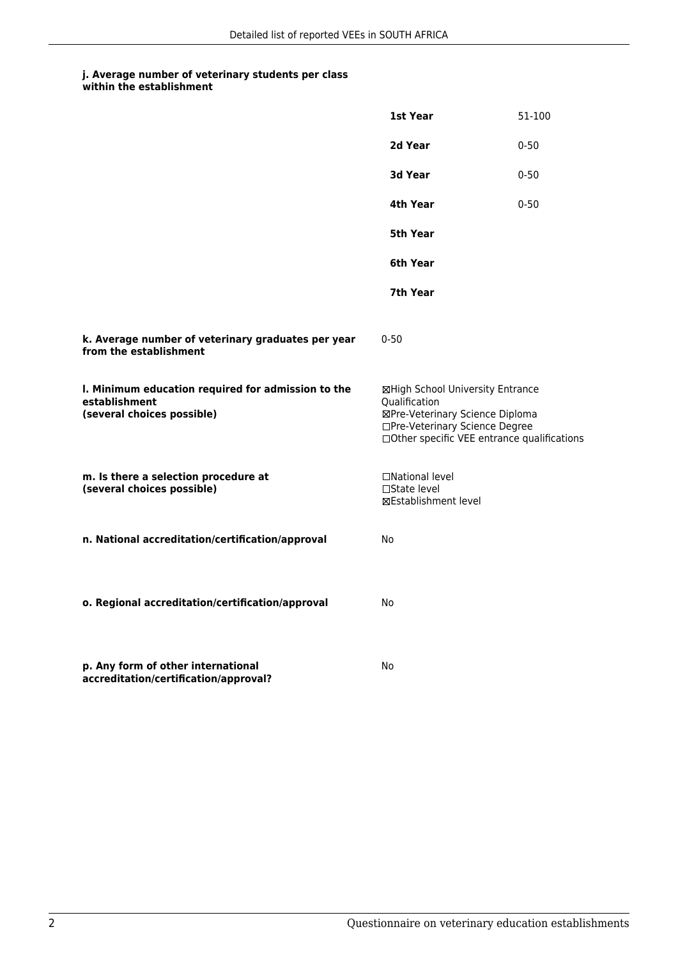### **j. Average number of veterinary students per class**

**within the establishment**

|                                                                                                   | 1st Year                                                                                                                                                              | 51-100   |
|---------------------------------------------------------------------------------------------------|-----------------------------------------------------------------------------------------------------------------------------------------------------------------------|----------|
|                                                                                                   | 2d Year                                                                                                                                                               | $0 - 50$ |
|                                                                                                   | 3d Year                                                                                                                                                               | $0 - 50$ |
|                                                                                                   | 4th Year                                                                                                                                                              | $0 - 50$ |
|                                                                                                   | 5th Year                                                                                                                                                              |          |
|                                                                                                   | 6th Year                                                                                                                                                              |          |
|                                                                                                   | 7th Year                                                                                                                                                              |          |
| k. Average number of veterinary graduates per year<br>from the establishment                      | $0 - 50$                                                                                                                                                              |          |
| I. Minimum education required for admission to the<br>establishment<br>(several choices possible) | ⊠High School University Entrance<br>Qualification<br>⊠Pre-Veterinary Science Diploma<br>□Pre-Veterinary Science Degree<br>□Other specific VEE entrance qualifications |          |
| m. Is there a selection procedure at<br>(several choices possible)                                | □National level<br>$\Box$ State level<br><b>⊠Establishment level</b>                                                                                                  |          |
| n. National accreditation/certification/approval                                                  | No                                                                                                                                                                    |          |
| o. Regional accreditation/certification/approval                                                  | No                                                                                                                                                                    |          |
| p. Any form of other international<br>accreditation/certification/approval?                       | No                                                                                                                                                                    |          |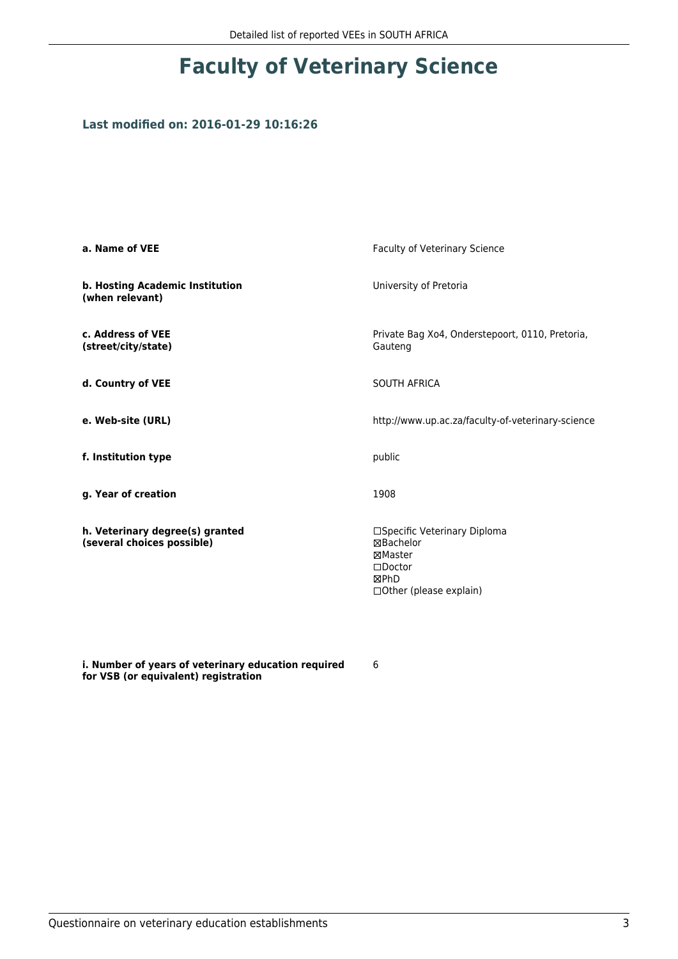# **Faculty of Veterinary Science**

#### **Last modified on: 2016-01-29 10:16:26**

| a. Name of VEE                                                | <b>Faculty of Veterinary Science</b>                                                                         |
|---------------------------------------------------------------|--------------------------------------------------------------------------------------------------------------|
| b. Hosting Academic Institution<br>(when relevant)            | University of Pretoria                                                                                       |
| c. Address of VEE<br>(street/city/state)                      | Private Bag Xo4, Onderstepoort, 0110, Pretoria,<br>Gauteng                                                   |
| d. Country of VEE                                             | SOUTH AFRICA                                                                                                 |
| e. Web-site (URL)                                             | http://www.up.ac.za/faculty-of-veterinary-science                                                            |
| f. Institution type                                           | public                                                                                                       |
| g. Year of creation                                           | 1908                                                                                                         |
| h. Veterinary degree(s) granted<br>(several choices possible) | □Specific Veterinary Diploma<br>⊠Bachelor<br>⊠Master<br>$\square$ Doctor<br>⊠PhD<br>□ Other (please explain) |

**i. Number of years of veterinary education required for VSB (or equivalent) registration**

6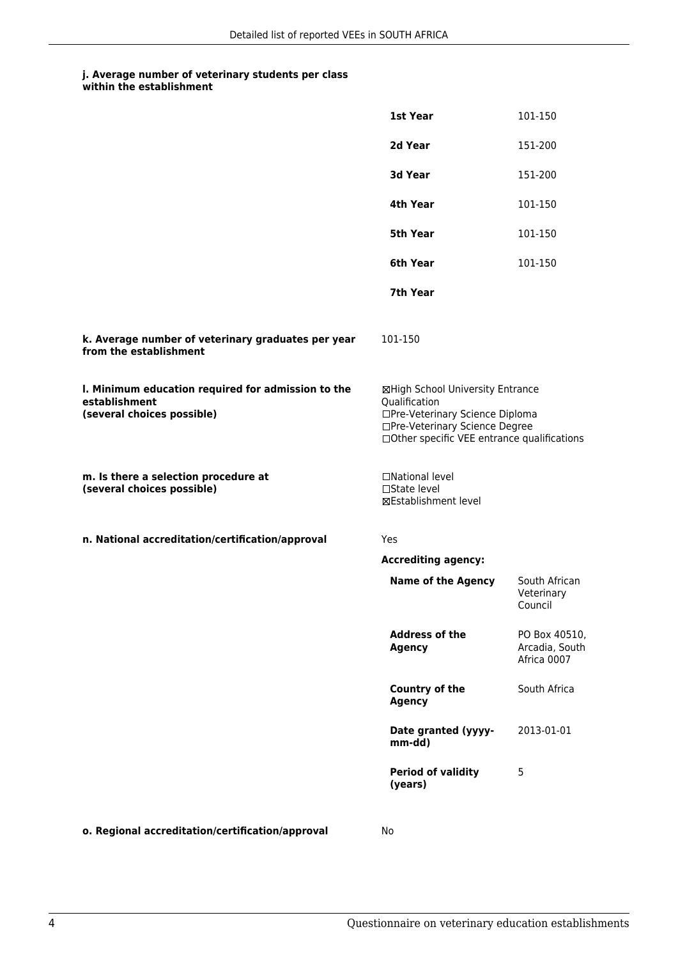### **j. Average number of veterinary students per class**

**within the establishment**

|                                                                                                   | 1st Year                                                                                                                                                              | 101-150                                        |
|---------------------------------------------------------------------------------------------------|-----------------------------------------------------------------------------------------------------------------------------------------------------------------------|------------------------------------------------|
|                                                                                                   | 2d Year                                                                                                                                                               | 151-200                                        |
|                                                                                                   | 3d Year                                                                                                                                                               | 151-200                                        |
|                                                                                                   | 4th Year                                                                                                                                                              | 101-150                                        |
|                                                                                                   | 5th Year                                                                                                                                                              | 101-150                                        |
|                                                                                                   | 6th Year                                                                                                                                                              | 101-150                                        |
|                                                                                                   | 7th Year                                                                                                                                                              |                                                |
| k. Average number of veterinary graduates per year<br>from the establishment                      | 101-150                                                                                                                                                               |                                                |
| I. Minimum education required for admission to the<br>establishment<br>(several choices possible) | ⊠High School University Entrance<br>Qualification<br>□Pre-Veterinary Science Diploma<br>□Pre-Veterinary Science Degree<br>□Other specific VEE entrance qualifications |                                                |
| m. Is there a selection procedure at<br>(several choices possible)                                | □National level<br>□State level<br><b>⊠Establishment level</b>                                                                                                        |                                                |
| n. National accreditation/certification/approval                                                  | Yes                                                                                                                                                                   |                                                |
|                                                                                                   | <b>Accrediting agency:</b>                                                                                                                                            |                                                |
|                                                                                                   | <b>Name of the Agency</b>                                                                                                                                             | South African<br>Veterinary<br>Council         |
|                                                                                                   | <b>Address of the</b><br><b>Agency</b>                                                                                                                                | PO Box 40510,<br>Arcadia, South<br>Africa 0007 |
|                                                                                                   | Country of the<br>Agency                                                                                                                                              | South Africa                                   |
|                                                                                                   | Date granted (yyyy-<br>mm-dd)                                                                                                                                         | 2013-01-01                                     |
|                                                                                                   | <b>Period of validity</b><br>(years)                                                                                                                                  | 5                                              |
|                                                                                                   |                                                                                                                                                                       |                                                |

**o. Regional accreditation/certification/approval** No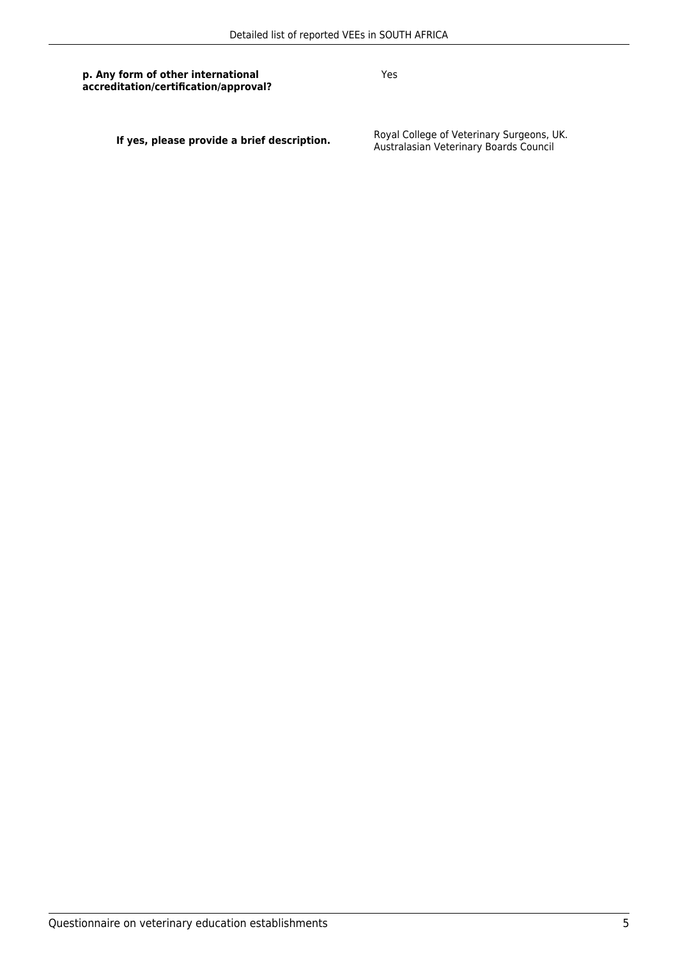**p. Any form of other international accreditation/certification/approval?** Yes

**If yes, please provide a brief description.** Boyal College of Veterinary Surgeons, UK.<br>Australasian Veterinary Boards Council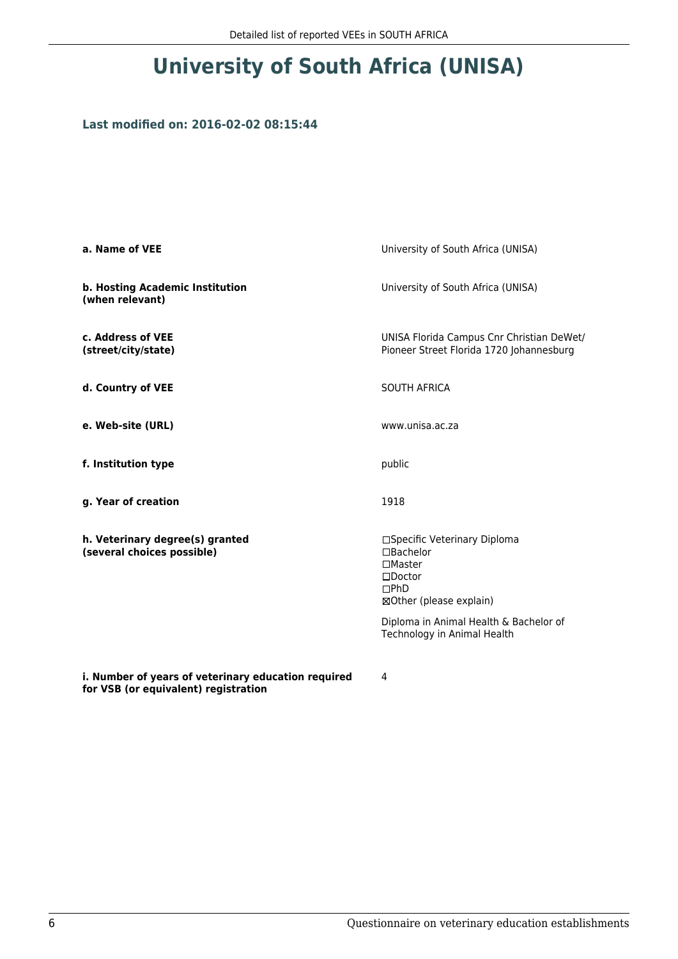# **University of South Africa (UNISA)**

#### **Last modified on: 2016-02-02 08:15:44**

| a. Name of VEE                                                                              | University of South Africa (UNISA)                                                                                            |
|---------------------------------------------------------------------------------------------|-------------------------------------------------------------------------------------------------------------------------------|
| b. Hosting Academic Institution<br>(when relevant)                                          | University of South Africa (UNISA)                                                                                            |
| c. Address of VEE<br>(street/city/state)                                                    | UNISA Florida Campus Cnr Christian DeWet/<br>Pioneer Street Florida 1720 Johannesburg                                         |
| d. Country of VEE                                                                           | <b>SOUTH AFRICA</b>                                                                                                           |
| e. Web-site (URL)                                                                           | www.unisa.ac.za                                                                                                               |
| f. Institution type                                                                         | public                                                                                                                        |
| g. Year of creation                                                                         | 1918                                                                                                                          |
| h. Veterinary degree(s) granted<br>(several choices possible)                               | □Specific Veterinary Diploma<br>□Bachelor<br>$\square$ Master<br>$\square$ Doctor<br>$\square$ PhD<br>⊠Other (please explain) |
|                                                                                             | Diploma in Animal Health & Bachelor of<br>Technology in Animal Health                                                         |
| i. Number of years of veterinary education required<br>for VSB (or equivalent) registration | 4                                                                                                                             |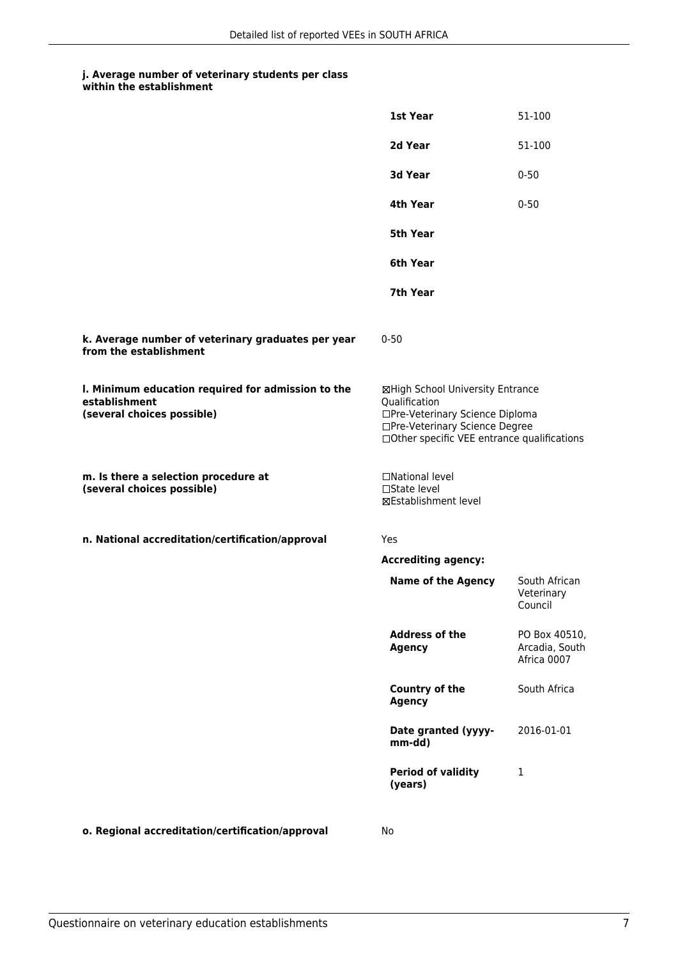### **j. Average number of veterinary students per class**

|                                                                                                   | 1st Year                                                                                                                                                              | 51-100                                         |
|---------------------------------------------------------------------------------------------------|-----------------------------------------------------------------------------------------------------------------------------------------------------------------------|------------------------------------------------|
|                                                                                                   | 2d Year                                                                                                                                                               | 51-100                                         |
|                                                                                                   | 3d Year                                                                                                                                                               | $0 - 50$                                       |
|                                                                                                   | 4th Year                                                                                                                                                              | $0 - 50$                                       |
|                                                                                                   | <b>5th Year</b>                                                                                                                                                       |                                                |
|                                                                                                   | 6th Year                                                                                                                                                              |                                                |
|                                                                                                   | 7th Year                                                                                                                                                              |                                                |
| k. Average number of veterinary graduates per year<br>from the establishment                      | $0 - 50$                                                                                                                                                              |                                                |
| I. Minimum education required for admission to the<br>establishment<br>(several choices possible) | ⊠High School University Entrance<br>Qualification<br>□Pre-Veterinary Science Diploma<br>□Pre-Veterinary Science Degree<br>□Other specific VEE entrance qualifications |                                                |
| m. Is there a selection procedure at<br>(several choices possible)                                | □National level<br>□State level<br>⊠Establishment level                                                                                                               |                                                |
| n. National accreditation/certification/approval                                                  | Yes                                                                                                                                                                   |                                                |
|                                                                                                   | <b>Accrediting agency:</b>                                                                                                                                            |                                                |
|                                                                                                   | <b>Name of the Agency</b>                                                                                                                                             | South African<br>Veterinary<br>Council         |
|                                                                                                   | <b>Address of the</b><br><b>Agency</b>                                                                                                                                | PO Box 40510,<br>Arcadia, South<br>Africa 0007 |
|                                                                                                   | Country of the<br><b>Agency</b>                                                                                                                                       | South Africa                                   |
|                                                                                                   | Date granted (yyyy-<br>mm-dd)                                                                                                                                         | 2016-01-01                                     |
|                                                                                                   | <b>Period of validity</b><br>(years)                                                                                                                                  | 1                                              |
|                                                                                                   |                                                                                                                                                                       |                                                |

**o. Regional accreditation/certification/approval** No